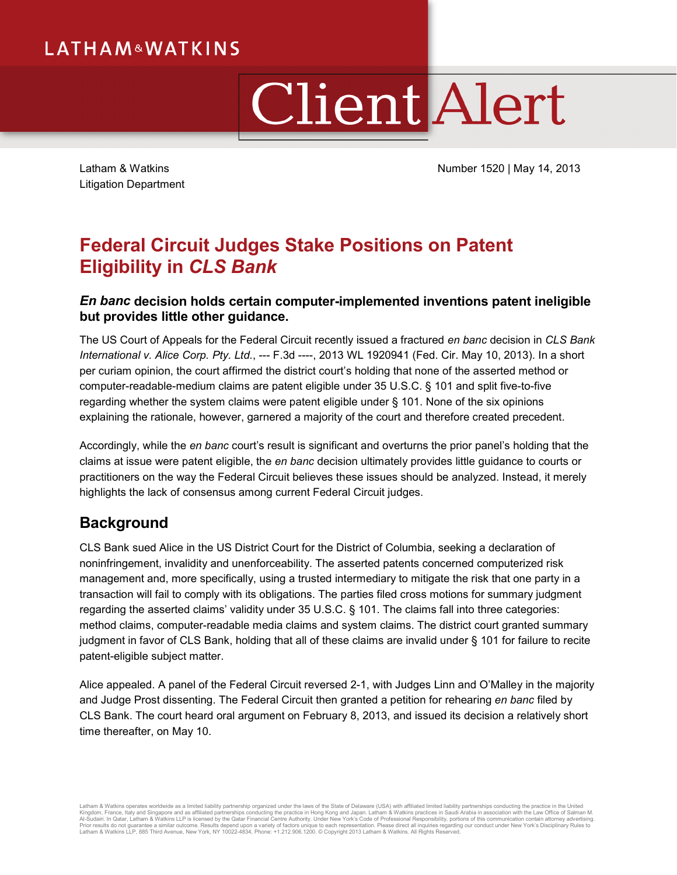# **LATHAM&WATKINS**

# ClientAlert

Litigation Department

Latham & Watkins **Number 1520** | May 14, 2013

## **Federal Circuit Judges Stake Positions on Patent Eligibility in** *CLS Bank*

#### *En banc* **decision holds certain computer-implemented inventions patent ineligible but provides little other guidance.**

The US Court of Appeals for the Federal Circuit recently issued a fractured *en banc* decision in *CLS Bank International v. Alice Corp. Pty. Ltd.*, --- F.3d ----, 2013 WL 1920941 (Fed. Cir. May 10, 2013). In a short per curiam opinion, the court affirmed the district court's holding that none of the asserted method or computer-readable-medium claims are patent eligible under 35 U.S.C. § 101 and split five-to-five regarding whether the system claims were patent eligible under § 101. None of the six opinions explaining the rationale, however, garnered a majority of the court and therefore created precedent.

Accordingly, while the *en banc* court's result is significant and overturns the prior panel's holding that the claims at issue were patent eligible, the *en banc* decision ultimately provides little guidance to courts or practitioners on the way the Federal Circuit believes these issues should be analyzed. Instead, it merely highlights the lack of consensus among current Federal Circuit judges.

## **Background**

CLS Bank sued Alice in the US District Court for the District of Columbia, seeking a declaration of noninfringement, invalidity and unenforceability. The asserted patents concerned computerized risk management and, more specifically, using a trusted intermediary to mitigate the risk that one party in a transaction will fail to comply with its obligations. The parties filed cross motions for summary judgment regarding the asserted claims' validity under 35 U.S.C. § 101. The claims fall into three categories: method claims, computer-readable media claims and system claims. The district court granted summary judgment in favor of CLS Bank, holding that all of these claims are invalid under § 101 for failure to recite patent-eligible subject matter.

Alice appealed. A panel of the Federal Circuit reversed 2-1, with Judges Linn and O'Malley in the majority and Judge Prost dissenting. The Federal Circuit then granted a petition for rehearing *en banc* filed by CLS Bank. The court heard oral argument on February 8, 2013, and issued its decision a relatively short time thereafter, on May 10.

Latham & Watkins operates worldwide as a limited itability partnership organized under the laws of the State of Delaware (USA) with affiliated partnerships conducting the practice in Hong Kong and Japan. Latham & Watkins p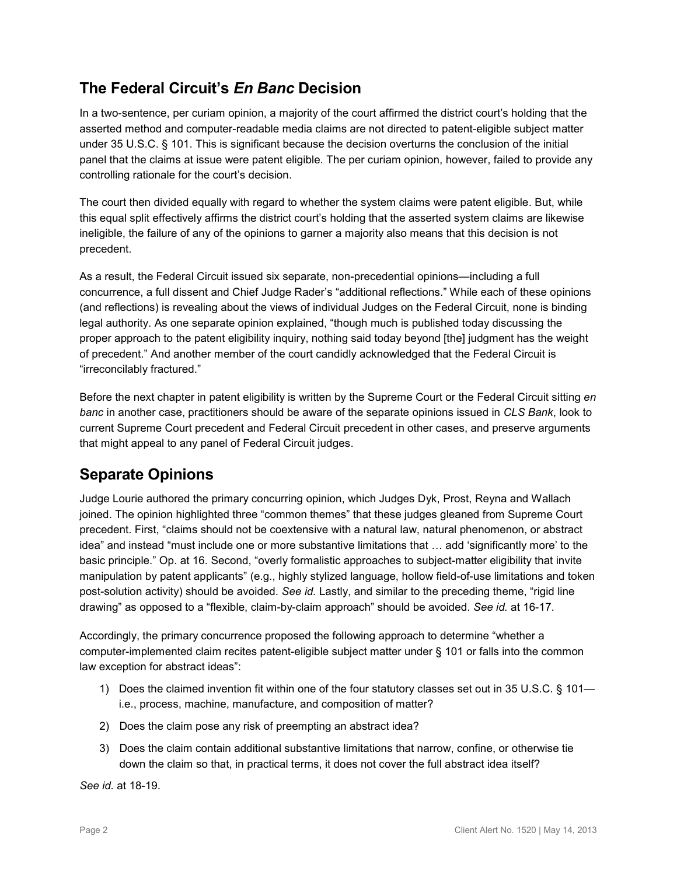#### **The Federal Circuit's** *En Banc* **Decision**

In a two-sentence, per curiam opinion, a majority of the court affirmed the district court's holding that the asserted method and computer-readable media claims are not directed to patent-eligible subject matter under 35 U.S.C. § 101. This is significant because the decision overturns the conclusion of the initial panel that the claims at issue were patent eligible. The per curiam opinion, however, failed to provide any controlling rationale for the court's decision.

The court then divided equally with regard to whether the system claims were patent eligible. But, while this equal split effectively affirms the district court's holding that the asserted system claims are likewise ineligible, the failure of any of the opinions to garner a majority also means that this decision is not precedent.

As a result, the Federal Circuit issued six separate, non-precedential opinions—including a full concurrence, a full dissent and Chief Judge Rader's "additional reflections." While each of these opinions (and reflections) is revealing about the views of individual Judges on the Federal Circuit, none is binding legal authority. As one separate opinion explained, "though much is published today discussing the proper approach to the patent eligibility inquiry, nothing said today beyond [the] judgment has the weight of precedent." And another member of the court candidly acknowledged that the Federal Circuit is "irreconcilably fractured."

Before the next chapter in patent eligibility is written by the Supreme Court or the Federal Circuit sitting *en banc* in another case, practitioners should be aware of the separate opinions issued in *CLS Bank*, look to current Supreme Court precedent and Federal Circuit precedent in other cases, and preserve arguments that might appeal to any panel of Federal Circuit judges.

## **Separate Opinions**

Judge Lourie authored the primary concurring opinion, which Judges Dyk, Prost, Reyna and Wallach joined. The opinion highlighted three "common themes" that these judges gleaned from Supreme Court precedent. First, "claims should not be coextensive with a natural law, natural phenomenon, or abstract idea" and instead "must include one or more substantive limitations that … add 'significantly more' to the basic principle." Op. at 16. Second, "overly formalistic approaches to subject-matter eligibility that invite manipulation by patent applicants" (e.g., highly stylized language, hollow field-of-use limitations and token post-solution activity) should be avoided. *See id.* Lastly, and similar to the preceding theme, "rigid line drawing" as opposed to a "flexible, claim-by-claim approach" should be avoided. *See id.* at 16-17.

Accordingly, the primary concurrence proposed the following approach to determine "whether a computer-implemented claim recites patent-eligible subject matter under § 101 or falls into the common law exception for abstract ideas":

- 1) Does the claimed invention fit within one of the four statutory classes set out in 35 U.S.C. § 101 i.e., process, machine, manufacture, and composition of matter?
- 2) Does the claim pose any risk of preempting an abstract idea?
- 3) Does the claim contain additional substantive limitations that narrow, confine, or otherwise tie down the claim so that, in practical terms, it does not cover the full abstract idea itself?

*See id.* at 18-19.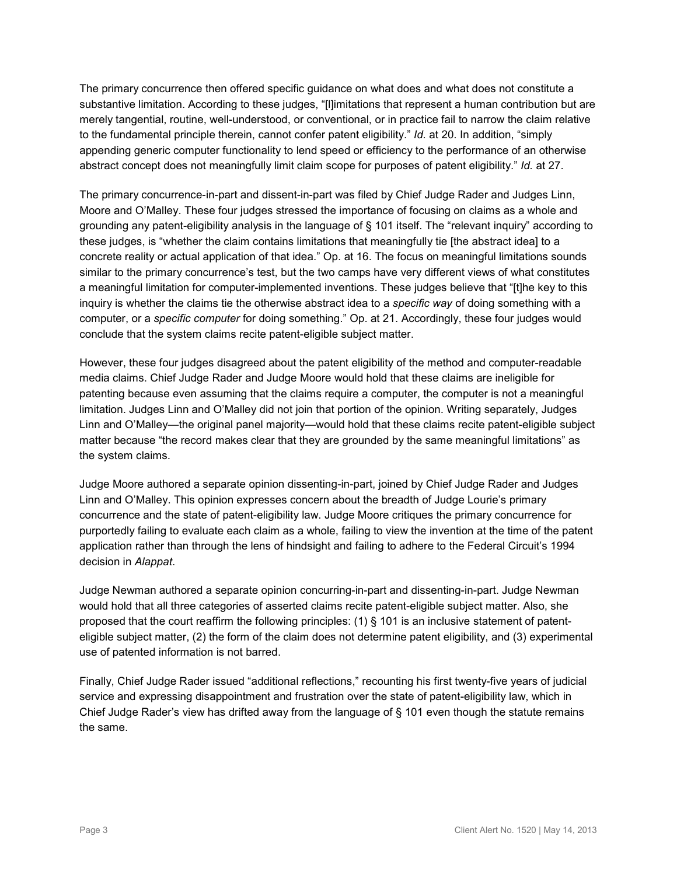The primary concurrence then offered specific guidance on what does and what does not constitute a substantive limitation. According to these judges, "[l]imitations that represent a human contribution but are merely tangential, routine, well-understood, or conventional, or in practice fail to narrow the claim relative to the fundamental principle therein, cannot confer patent eligibility." *Id.* at 20. In addition, "simply appending generic computer functionality to lend speed or efficiency to the performance of an otherwise abstract concept does not meaningfully limit claim scope for purposes of patent eligibility." *Id.* at 27.

The primary concurrence-in-part and dissent-in-part was filed by Chief Judge Rader and Judges Linn, Moore and O'Malley. These four judges stressed the importance of focusing on claims as a whole and grounding any patent-eligibility analysis in the language of § 101 itself. The "relevant inquiry" according to these judges, is "whether the claim contains limitations that meaningfully tie [the abstract idea] to a concrete reality or actual application of that idea." Op. at 16. The focus on meaningful limitations sounds similar to the primary concurrence's test, but the two camps have very different views of what constitutes a meaningful limitation for computer-implemented inventions. These judges believe that "[t]he key to this inquiry is whether the claims tie the otherwise abstract idea to a *specific way* of doing something with a computer, or a *specific computer* for doing something." Op. at 21. Accordingly, these four judges would conclude that the system claims recite patent-eligible subject matter.

However, these four judges disagreed about the patent eligibility of the method and computer-readable media claims. Chief Judge Rader and Judge Moore would hold that these claims are ineligible for patenting because even assuming that the claims require a computer, the computer is not a meaningful limitation. Judges Linn and O'Malley did not join that portion of the opinion. Writing separately, Judges Linn and O'Malley—the original panel majority—would hold that these claims recite patent-eligible subject matter because "the record makes clear that they are grounded by the same meaningful limitations" as the system claims.

Judge Moore authored a separate opinion dissenting-in-part, joined by Chief Judge Rader and Judges Linn and O'Malley. This opinion expresses concern about the breadth of Judge Lourie's primary concurrence and the state of patent-eligibility law. Judge Moore critiques the primary concurrence for purportedly failing to evaluate each claim as a whole, failing to view the invention at the time of the patent application rather than through the lens of hindsight and failing to adhere to the Federal Circuit's 1994 decision in *Alappat*.

Judge Newman authored a separate opinion concurring-in-part and dissenting-in-part. Judge Newman would hold that all three categories of asserted claims recite patent-eligible subject matter. Also, she proposed that the court reaffirm the following principles: (1) § 101 is an inclusive statement of patenteligible subject matter, (2) the form of the claim does not determine patent eligibility, and (3) experimental use of patented information is not barred.

Finally, Chief Judge Rader issued "additional reflections," recounting his first twenty-five years of judicial service and expressing disappointment and frustration over the state of patent-eligibility law, which in Chief Judge Rader's view has drifted away from the language of § 101 even though the statute remains the same.